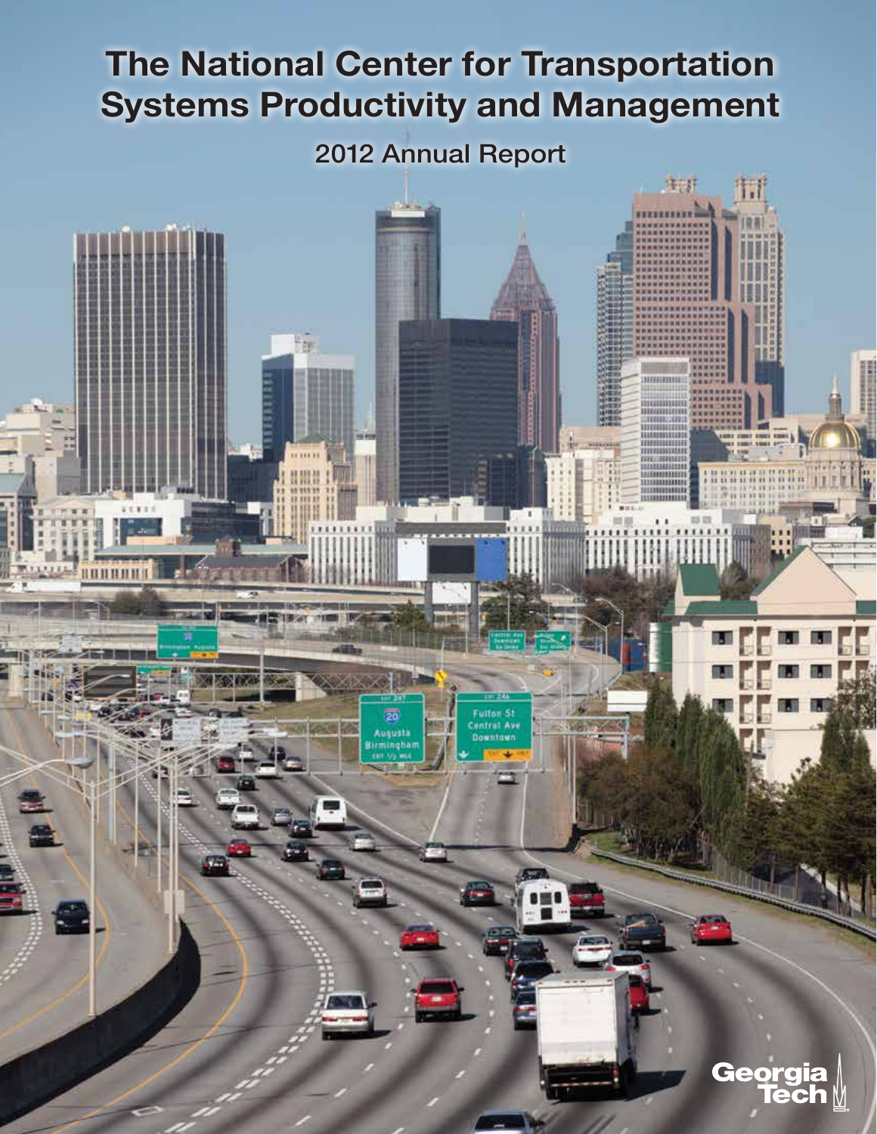# The National Center for Transportation Systems Productivity and Management

# 2012 Annual Report

HH

uousta

**HUNBHH** 

生計

**NUMBER** 

HH 8888 ша шш

33135

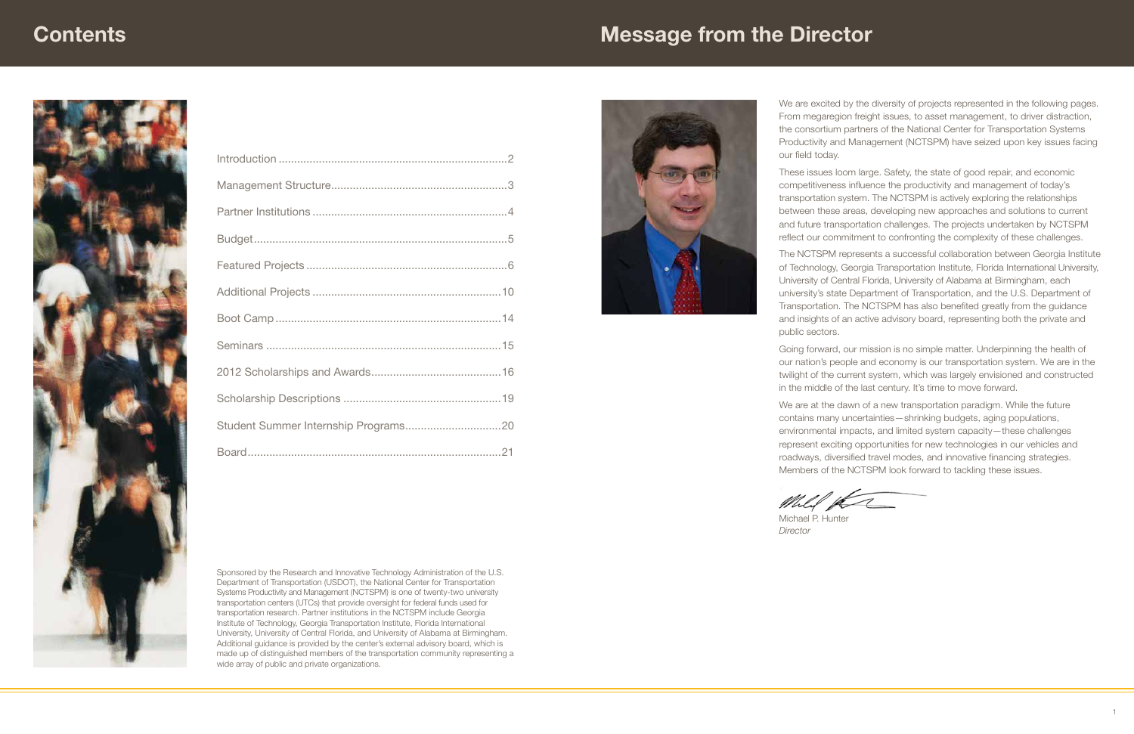We are excited by the diversity of projects represented in the following pages. From megaregion freight issues, to asset management, to driver distraction, the consortium partners of the National Center for Transportation Systems Productivity and Management (NCTSPM) have seized upon key issues facing our field today.

These issues loom large. Safety, the state of good repair, and economic competitiveness influence the productivity and management of today's transportation system. The NCTSPM is actively exploring the relationships between these areas, developing new approaches and solutions to current and future transportation challenges. The projects undertaken by NCTSPM reflect our commitment to confronting the complexity of these challenges.

The NCTSPM represents a successful collaboration between Georgia Institute of Technology, Georgia Transportation Institute, Florida International University, University of Central Florida, University of Alabama at Birmingham, each university's state Department of Transportation, and the U.S. Department of Transportation. The NCTSPM has also benefited greatly from the guidance and insights of an active advisory board, representing both the private and public sectors.

Going forward, our mission is no simple matter. Underpinning the health of our nation's people and economy is our transportation system. We are in the twilight of the current system, which was largely envisioned and constructed in the middle of the last century. It's time to move forward.

We are at the dawn of a new transportation paradigm. While the future contains many uncertainties—shrinking budgets, aging populations, environmental impacts, and limited system capacity—these challenges represent exciting opportunities for new technologies in our vehicles and roadways, diversified travel modes, and innovative financing strategies. Members of the NCTSPM look forward to tackling these issues.



Michael P. Hunter *Director*

Mill K

# **Contents**

# Message from the Director





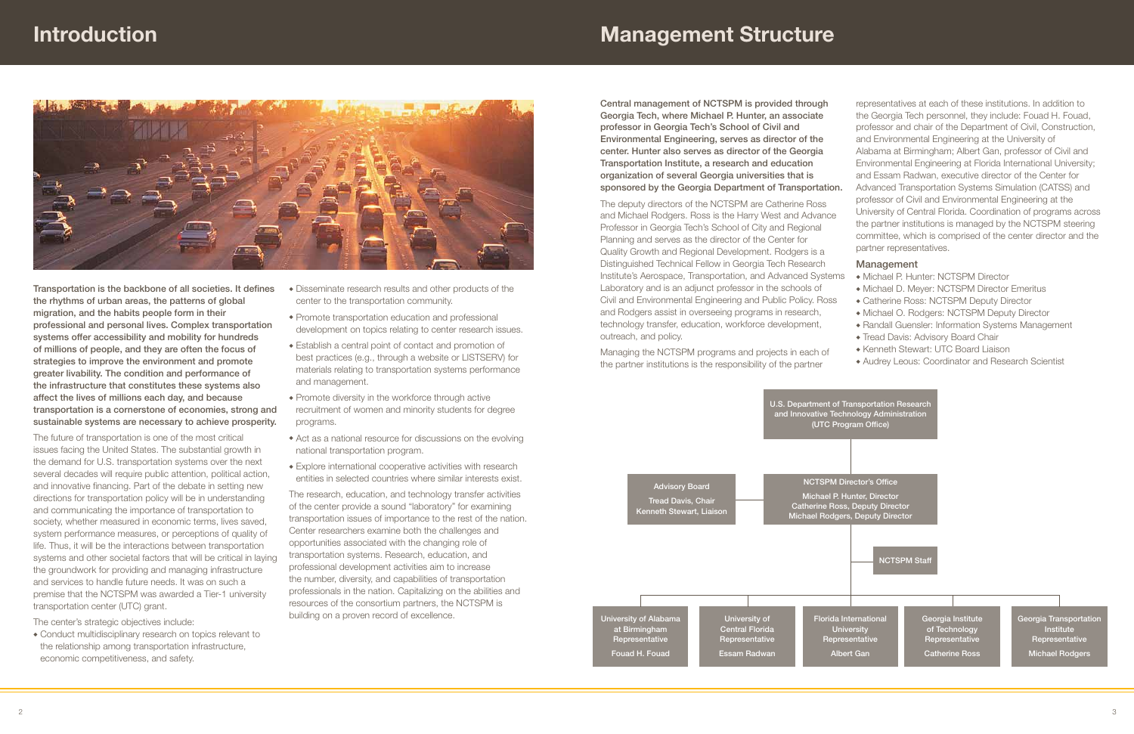

Central management of NCTSPM is provided through Georgia Tech, where Michael P. Hunter, an associate professor in Georgia Tech's School of Civil and Environmental Engineering, serves as director of the center. Hunter also serves as director of the Georgia Transportation Institute, a research and education organization of several Georgia universities that is sponsored by the Georgia Department of Transportation.

The deputy directors of the NCTSPM are Catherine Ross and Michael Rodgers. Ross is the Harry West and Advance Professor in Georgia Tech's School of City and Regional Planning and serves as the director of the Center for Quality Growth and Regional Development. Rodgers is a Distinguished Technical Fellow in Georgia Tech Research Institute's Aerospace, Transportation, and Advanced Systems Laboratory and is an adjunct professor in the schools of Civil and Environmental Engineering and Public Policy. Ross and Rodgers assist in overseeing programs in research, technology transfer, education, workforce development, outreach, and policy.

Managing the NCTSPM programs and projects in each of the partner institutions is the responsibility of the partner

representatives at each of these institutions. In addition to the Georgia Tech personnel, they include: Fouad H. Fouad, professor and chair of the Department of Civil, Construction, and Environmental Engineering at the University of Alabama at Birmingham; Albert Gan, professor of Civil and Environmental Engineering at Florida International University; and Essam Radwan, executive director of the Center for

- Advanced Transportation Systems Simulation (CATSS) and professor of Civil and Environmental Engineering at the
- University of Central Florida. Coordination of programs across the partner institutions is managed by the NCTSPM steering committee, which is comprised of the center director and the partner representatives.

#### Management

- Michael P. Hunter: NCTSPM Director
- $\bullet$  Michael D. Meyer: NCTSPM Director Emeritus
- Catherine Ross: NCTSPM Deputy Director
- $\bullet$  Michael O. Rodgers: NCTSPM Deputy Director
- Randall Guensler: Information Systems Management
- Tread Davis: Advisory Board Chair
- Kenneth Stewart: UTC Board Liaison
- Audrey Leous: Coordinator and Research Scientist

• Conduct multidisciplinary research on topics relevant to the relationship among transportation infrastructure, economic competitiveness, and safety.



- $\bullet$  Disseminate research results and other products of the center to the transportation community.
- $\bullet$  Promote transportation education and professional development on topics relating to center research issues.
- Establish a central point of contact and promotion of best practices (e.g., through a website or LISTSERV) for materials relating to transportation systems performance and management.
- $\bullet$  Promote diversity in the workforce through active recruitment of women and minority students for degree programs.
- $\triangle$  Act as a national resource for discussions on the evolving national transportation program.
- $\bullet$  Explore international cooperative activities with research entities in selected countries where similar interests exist.

Transportation is the backbone of all societies. It defines the rhythms of urban areas, the patterns of global migration, and the habits people form in their professional and personal lives. Complex transportation systems offer accessibility and mobility for hundreds of millions of people, and they are often the focus of strategies to improve the environment and promote greater livability. The condition and performance of the infrastructure that constitutes these systems also affect the lives of millions each day, and because transportation is a cornerstone of economies, strong and sustainable systems are necessary to achieve prosperity.

The future of transportation is one of the most critical issues facing the United States. The substantial growth in the demand for U.S. transportation systems over the next several decades will require public attention, political action, and innovative financing. Part of the debate in setting new directions for transportation policy will be in understanding and communicating the importance of transportation to society, whether measured in economic terms, lives saved, system performance measures, or perceptions of quality of life. Thus, it will be the interactions between transportation systems and other societal factors that will be critical in laying the groundwork for providing and managing infrastructure and services to handle future needs. It was on such a premise that the NCTSPM was awarded a Tier-1 university transportation center (UTC) grant.

The center's strategic objectives include:

The research, education, and technology transfer activities of the center provide a sound "laboratory" for examining transportation issues of importance to the rest of the nation. Center researchers examine both the challenges and opportunities associated with the changing role of transportation systems. Research, education, and professional development activities aim to increase the number, diversity, and capabilities of transportation professionals in the nation. Capitalizing on the abilities and resources of the consortium partners, the NCTSPM is building on a proven record of excellence.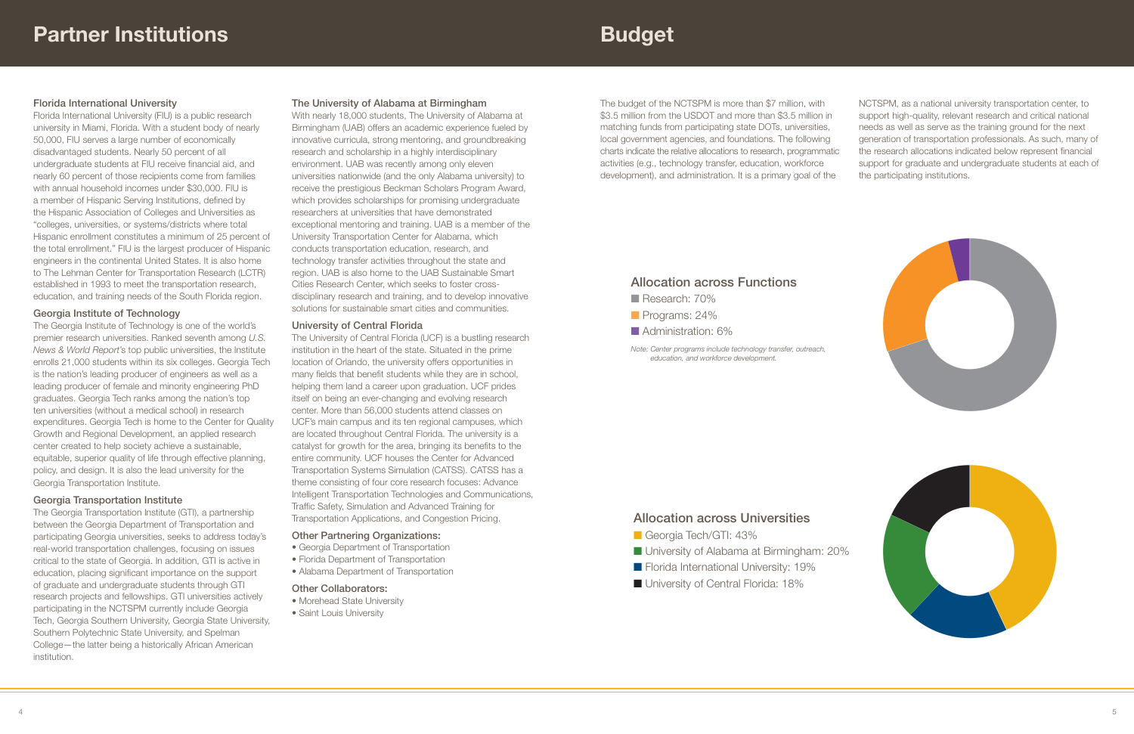The budget of the NCTSPM is more than \$7 million, with \$3.5 million from the USDOT and more than \$3.5 million in matching funds from participating state DOTs, universities, local government agencies, and foundations. The following charts indicate the relative allocations to research, programmatic activities (e.g., technology transfer, education, workforce development), and administration. It is a primary goal of the

NCTSPM, as a national university transportation center, to support high-quality, relevant research and critical national needs as well as serve as the training ground for the next generation of transportation professionals. As such, many of the research allocations indicated below represent financial support for graduate and undergraduate students at each of the participating institutions.

# Allocation across Functions

- Research: 70%
- Programs: 24%
- **Administration: 6%**

*Note: Center programs include technology transfer, outreach,* 

# Allocation across Universities

- Georgia Tech/GTI: 43%
- University of Alabama at Birmingham: 20%
- **n** Florida International University: 19%
- 



# Budget

# Florida International University

Florida International University (FIU) is a public research university in Miami, Florida. With a student body of nearly 50,000, FIU serves a large number of economically disadvantaged students. Nearly 50 percent of all undergraduate students at FIU receive financial aid, and nearly 60 percent of those recipients come from families with annual household incomes under \$30,000. FIU is a member of Hispanic Serving Institutions, defined by the Hispanic Association of Colleges and Universities as "colleges, universities, or systems/districts where total Hispanic enrollment constitutes a minimum of 25 percent of the total enrollment." FIU is the largest producer of Hispanic engineers in the continental United States. It is also home to The Lehman Center for Transportation Research (LCTR) established in 1993 to meet the transportation research, education, and training needs of the South Florida region.

# Georgia Institute of Technology

The Georgia Institute of Technology is one of the world's premier research universities. Ranked seventh among *U.S. News & World Report*'s top public universities, the Institute enrolls 21,000 students within its six colleges. Georgia Tech is the nation's leading producer of engineers as well as a leading producer of female and minority engineering PhD graduates. Georgia Tech ranks among the nation's top ten universities (without a medical school) in research expenditures. Georgia Tech is home to the Center for Quality Growth and Regional Development, an applied research center created to help society achieve a sustainable, equitable, superior quality of life through effective planning, policy, and design. It is also the lead university for the Georgia Transportation Institute.

- Morehead State University
- Saint Louis University

# Georgia Transportation Institute

The Georgia Transportation Institute (GTI), a partnership between the Georgia Department of Transportation and participating Georgia universities, seeks to address today's real-world transportation challenges, focusing on issues critical to the state of Georgia. In addition, GTI is active in education, placing significant importance on the support of graduate and undergraduate students through GTI research projects and fellowships. GTI universities actively participating in the NCTSPM currently include Georgia Tech, Georgia Southern University, Georgia State University, Southern Polytechnic State University, and Spelman College—the latter being a historically African American institution.

# The University of Alabama at Birmingham

With nearly 18,000 students, The University of Alabama at Birmingham (UAB) offers an academic experience fueled by innovative curricula, strong mentoring, and groundbreaking research and scholarship in a highly interdisciplinary environment. UAB was recently among only eleven universities nationwide (and the only Alabama university) to receive the prestigious Beckman Scholars Program Award, which provides scholarships for promising undergraduate researchers at universities that have demonstrated exceptional mentoring and training. UAB is a member of the University Transportation Center for Alabama, which conducts transportation education, research, and technology transfer activities throughout the state and region. UAB is also home to the UAB Sustainable Smart Cities Research Center, which seeks to foster crossdisciplinary research and training, and to develop innovative solutions for sustainable smart cities and communities.

# University of Central Florida

The University of Central Florida (UCF) is a bustling research institution in the heart of the state. Situated in the prime location of Orlando, the university offers opportunities in many fields that benefit students while they are in school, helping them land a career upon graduation. UCF prides itself on being an ever-changing and evolving research center. More than 56,000 students attend classes on UCF's main campus and its ten regional campuses, which are located throughout Central Florida. The university is a catalyst for growth for the area, bringing its benefits to the entire community. UCF houses the Center for Advanced Transportation Systems Simulation (CATSS). CATSS has a theme consisting of four core research focuses: Advance Intelligent Transportation Technologies and Communications, Traffic Safety, Simulation and Advanced Training for Transportation Applications, and Congestion Pricing.

### Other Partnering Organizations:

- Georgia Department of Transportation
- Florida Department of Transportation
- Alabama Department of Transportation

### Other Collaborators: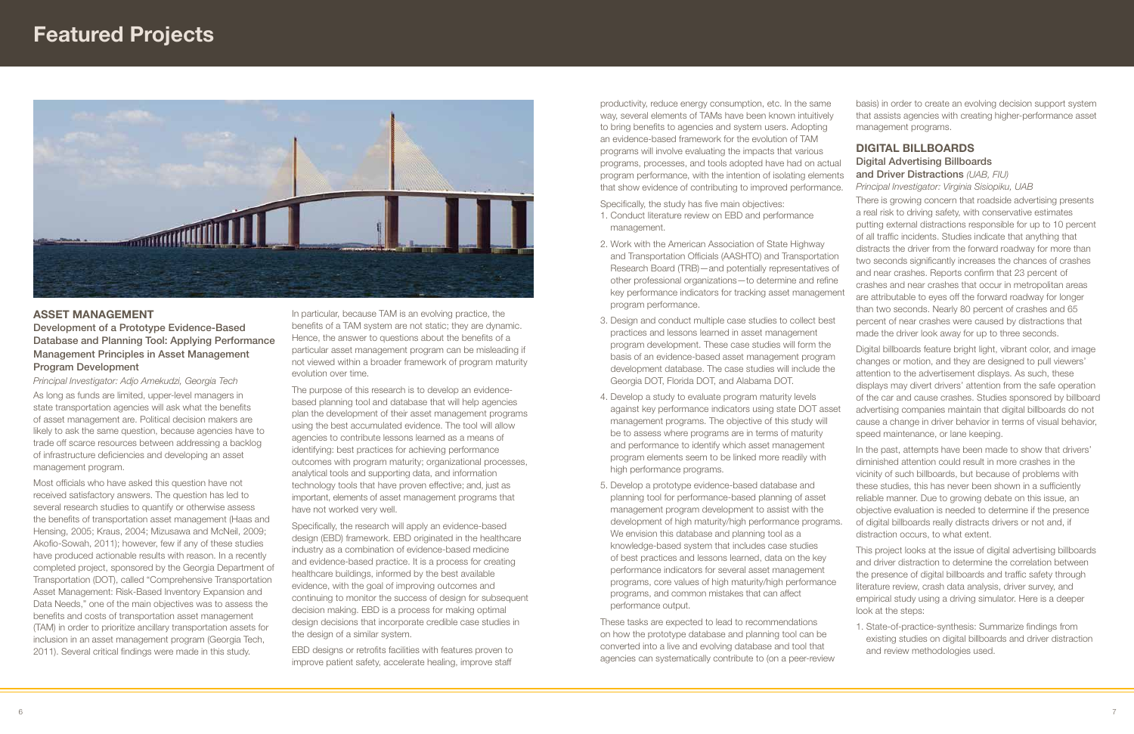Specifically, the study has five main objectives:

productivity, reduce energy consumption, etc. In the same way, several elements of TAMs have been known intuitively to bring benefits to agencies and system users. Adopting an evidence-based framework for the evolution of TAM programs will involve evaluating the impacts that various programs, processes, and tools adopted have had on actual program performance, with the intention of isolating elements that show evidence of contributing to improved performance. management programs. DIGITAL BILLBOARDS Digital Advertising Billboards and Driver Distractions *(UAB, FIU) Principal Investigator: Virginia Sisiopiku, UAB*

These tasks are expected to lead to recommendations on how the prototype database and planning tool can be converted into a live and evolving database and tool that agencies can systematically contribute to (on a peer-review

- 1. Conduct literature review on EBD and performance management.
- 2. Work with the American Association of State Highway and Transportation Officials (AASHTO) and Transportation Research Board (TRB)—and potentially representatives of other professional organizations—to determine and refine key performance indicators for tracking asset management program performance.
- 3. Design and conduct multiple case studies to collect best practices and lessons learned in asset management program development. These case studies will form the basis of an evidence-based asset management program development database. The case studies will include the Georgia DOT, Florida DOT, and Alabama DOT.
- 4. Develop a study to evaluate program maturity levels against key performance indicators using state DOT asset management programs. The objective of this study will be to assess where programs are in terms of maturity and performance to identify which asset management program elements seem to be linked more readily with high performance programs.
- 5. Develop a prototype evidence-based database and planning tool for performance-based planning of asset management program development to assist with the development of high maturity/high performance programs. We envision this database and planning tool as a knowledge-based system that includes case studies of best practices and lessons learned, data on the key performance indicators for several asset management programs, core values of high maturity/high performance programs, and common mistakes that can affect performance output. of digital billboards really distracts drivers or not and, if distraction occurs, to what extent.

basis) in order to create an evolving decision support system that assists agencies with creating higher-performance asset

There is growing concern that roadside advertising presents a real risk to driving safety, with conservative estimates putting external distractions responsible for up to 10 percent of all traffic incidents. Studies indicate that anything that distracts the driver from the forward roadway for more than two seconds significantly increases the chances of crashes and near crashes. Reports confirm that 23 percent of crashes and near crashes that occur in metropolitan areas are attributable to eyes off the forward roadway for longer than two seconds. Nearly 80 percent of crashes and 65 percent of near crashes were caused by distractions that made the driver look away for up to three seconds.

Digital billboards feature bright light, vibrant color, and image changes or motion, and they are designed to pull viewers' attention to the advertisement displays. As such, these displays may divert drivers' attention from the safe operation

of the car and cause crashes. Studies sponsored by billboard advertising companies maintain that digital billboards do not cause a change in driver behavior in terms of visual behavior, speed maintenance, or lane keeping.

In the past, attempts have been made to show that drivers' diminished attention could result in more crashes in the vicinity of such billboards, but because of problems with these studies, this has never been shown in a sufficiently reliable manner. Due to growing debate on this issue, an objective evaluation is needed to determine if the presence

This project looks at the issue of digital advertising billboards and driver distraction to determine the correlation between the presence of digital billboards and traffic safety through literature review, crash data analysis, driver survey, and empirical study using a driving simulator. Here is a deeper look at the steps:

1. State-of-practice-synthesis: Summarize findings from existing studies on digital billboards and driver distraction and review methodologies used.



# Asset Management

Development of a Prototype Evidence-Based Database and Planning Tool: Applying Performance Management Principles in Asset Management Program Development

*Principal Investigator: Adjo Amekudzi, Georgia Tech* As long as funds are limited, upper-level managers in state transportation agencies will ask what the benefits of asset management are. Political decision makers are likely to ask the same question, because agencies have to trade off scarce resources between addressing a backlog of infrastructure deficiencies and developing an asset management program.

Most officials who have asked this question have not received satisfactory answers. The question has led to several research studies to quantify or otherwise assess the benefits of transportation asset management (Haas and Hensing, 2005; Kraus, 2004; Mizusawa and McNeil, 2009; Akofio-Sowah, 2011); however, few if any of these studies have produced actionable results with reason. In a recently completed project, sponsored by the Georgia Department of Transportation (DOT), called "Comprehensive Transportation Asset Management: Risk-Based Inventory Expansion and Data Needs," one of the main objectives was to assess the benefits and costs of transportation asset management (TAM) in order to prioritize ancillary transportation assets for inclusion in an asset management program (Georgia Tech, 2011). Several critical findings were made in this study.

In particular, because TAM is an evolving practice, the benefits of a TAM system are not static; they are dynamic. Hence, the answer to questions about the benefits of a particular asset management program can be misleading if not viewed within a broader framework of program maturity evolution over time.

The purpose of this research is to develop an evidencebased planning tool and database that will help agencies plan the development of their asset management programs using the best accumulated evidence. The tool will allow agencies to contribute lessons learned as a means of identifying: best practices for achieving performance outcomes with program maturity; organizational processes, analytical tools and supporting data, and information technology tools that have proven effective; and, just as important, elements of asset management programs that have not worked very well.

Specifically, the research will apply an evidence-based design (EBD) framework. EBD originated in the healthcare industry as a combination of evidence-based medicine and evidence-based practice. It is a process for creating healthcare buildings, informed by the best available evidence, with the goal of improving outcomes and continuing to monitor the success of design for subsequent decision making. EBD is a process for making optimal design decisions that incorporate credible case studies in the design of a similar system.

EBD designs or retrofits facilities with features proven to improve patient safety, accelerate healing, improve staff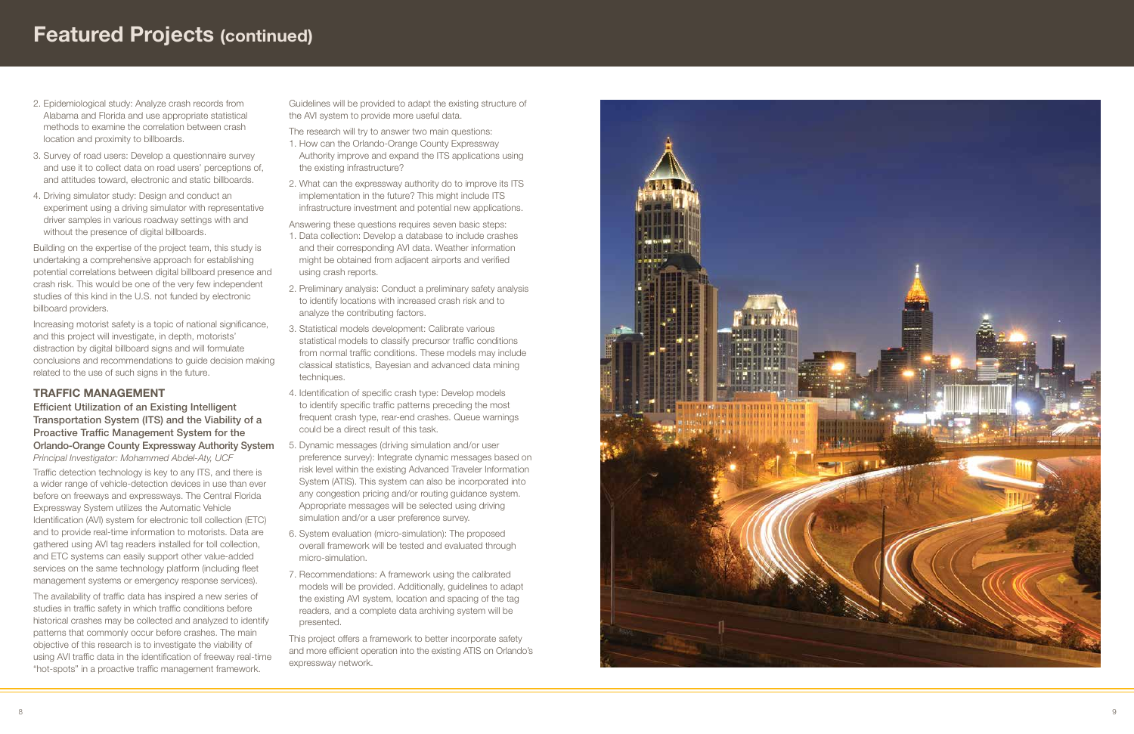- 2. Epidemiological study: Analyze crash records from Alabama and Florida and use appropriate statistical methods to examine the correlation between crash location and proximity to billboards.
- 3. Survey of road users: Develop a questionnaire survey and use it to collect data on road users' perceptions of, and attitudes toward, electronic and static billboards.
- 4. Driving simulator study: Design and conduct an experiment using a driving simulator with representative driver samples in various roadway settings with and without the presence of digital billboards.

Building on the expertise of the project team, this study is undertaking a comprehensive approach for establishing potential correlations between digital billboard presence and crash risk. This would be one of the very few independent studies of this kind in the U.S. not funded by electronic billboard providers.

Increasing motorist safety is a topic of national significance, and this project will investigate, in depth, motorists' distraction by digital billboard signs and will formulate conclusions and recommendations to guide decision making related to the use of such signs in the future.

# TRAFFIC MANAGEMEN

# Efficient Utilization of an Existing Intelligent Transportation System (ITS) and the Viability of a Proactive Traffic Management System for the Orlando-Orange County Expressway Authority System

*Principal Investigator: Mohammed Abdel-Aty, UCF* Traffic detection technology is key to any ITS, and there is a wider range of vehicle-detection devices in use than ever before on freeways and expressways. The Central Florida Expressway System utilizes the Automatic Vehicle Identification (AVI) system for electronic toll collection (ETC) and to provide real-time information to motorists. Data are gathered using AVI tag readers installed for toll collection, and ETC systems can easily support other value-added services on the same technology platform (including fleet management systems or emergency response services).

The availability of traffic data has inspired a new series of studies in traffic safety in which traffic conditions before historical crashes may be collected and analyzed to identify patterns that commonly occur before crashes. The main objective of this research is to investigate the viability of using AVI traffic data in the identification of freeway real-time "hot-spots" in a proactive traffic management framework.

Guidelines will be provided to adapt the existing structure of the AVI system to provide more useful data.

The research will try to answer two main questions:

- 1. How can the Orlando-Orange County Expressway Authority improve and expand the ITS applications using the existing infrastructure?
- 2. What can the expressway authority do to improve its ITS implementation in the future? This might include ITS infrastructure investment and potential new applications.

Answering these questions requires seven basic steps:

- 1. Data collection: Develop a database to include crashes and their corresponding AVI data. Weather information might be obtained from adjacent airports and verified using crash reports.
- 2. Preliminary analysis: Conduct a preliminary safety analysis to identify locations with increased crash risk and to analyze the contributing factors.
- 3. Statistical models development: Calibrate various statistical models to classify precursor traffic conditions from normal traffic conditions. These models may include classical statistics, Bayesian and advanced data mining techniques.
- 4. Identification of specific crash type: Develop models to identify specific traffic patterns preceding the most frequent crash type, rear-end crashes. Queue warnings could be a direct result of this task.
- 5. Dynamic messages (driving simulation and/or user preference survey): Integrate dynamic messages based on risk level within the existing Advanced Traveler Information System (ATIS). This system can also be incorporated into any congestion pricing and/or routing guidance system. Appropriate messages will be selected using driving simulation and/or a user preference survey.
- 6. System evaluation (micro-simulation): The proposed overall framework will be tested and evaluated through micro-simulation.
- 7. Recommendations: A framework using the calibrated models will be provided. Additionally, guidelines to adapt the existing AVI system, location and spacing of the tag readers, and a complete data archiving system will be presented.

This project offers a framework to better incorporate safety and more efficient operation into the existing ATIS on Orlando's expressway network.



# Featured Projects (continued)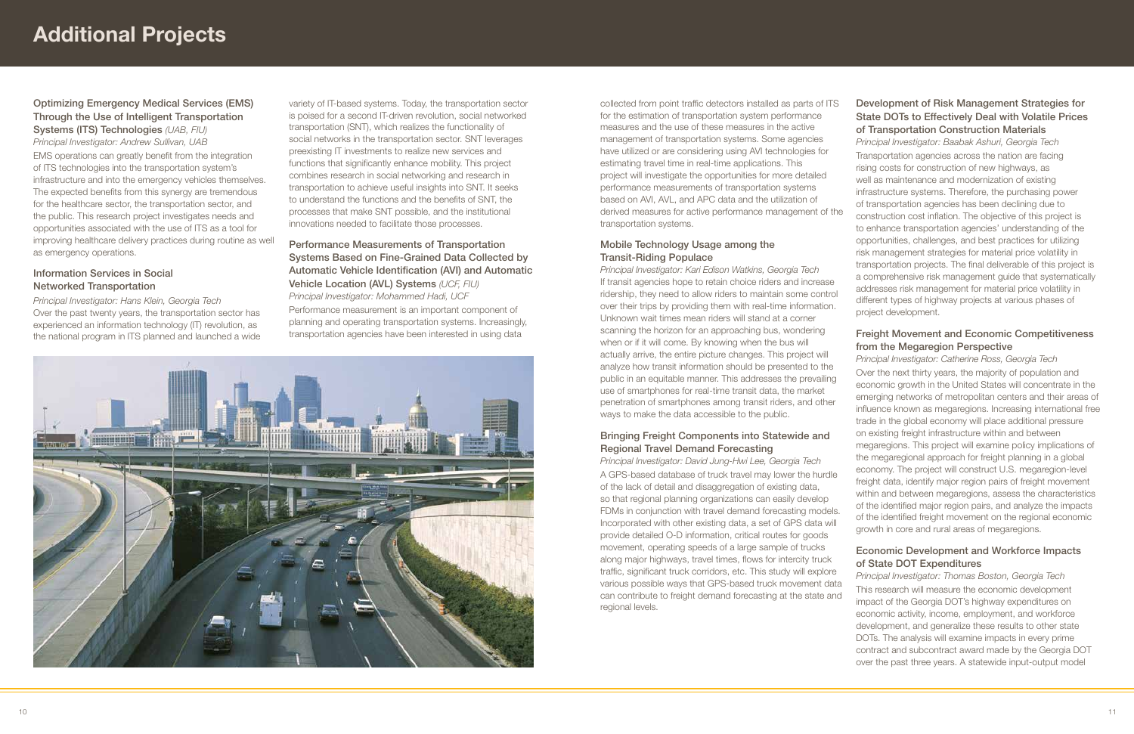collected from point traffic detectors installed as parts of ITS for the estimation of transportation system performance measures and the use of these measures in the active management of transportation systems. Some agencies have utilized or are considering using AVI technologies for estimating travel time in real-time applications. This project will investigate the opportunities for more detailed performance measurements of transportation systems based on AVI, AVL, and APC data and the utilization of derived measures for active performance management of the transportation systems.

# Mobile Technology Usage among the Transit-Riding Populace

*Principal Investigator: Kari Edison Watkins, Georgia Tech* If transit agencies hope to retain choice riders and increase ridership, they need to allow riders to maintain some control over their trips by providing them with real-time information. Unknown wait times mean riders will stand at a corner scanning the horizon for an approaching bus, wondering when or if it will come. By knowing when the bus will actually arrive, the entire picture changes. This project will analyze how transit information should be presented to the public in an equitable manner. This addresses the prevailing use of smartphones for real-time transit data, the market penetration of smartphones among transit riders, and other ways to make the data accessible to the public.

# Bringing Freight Components into Statewide and Regional Travel Demand Forecasting

*Principal Investigator: David Jung-Hwi Lee, Georgia Tech* A GPS-based database of truck travel may lower the hurdle of the lack of detail and disaggregation of existing data, so that regional planning organizations can easily develop FDMs in conjunction with travel demand forecasting models. Incorporated with other existing data, a set of GPS data will provide detailed O-D information, critical routes for goods movement, operating speeds of a large sample of trucks along major highways, travel times, flows for intercity truck traffic, significant truck corridors, etc. This study will explore various possible ways that GPS-based truck movement data can contribute to freight demand forecasting at the state and regional levels.

# Development of Risk Management Strategies for State DOTs to Effectively Deal with Volatile Prices of Transportation Construction Materials

*Principal Investigator: Baabak Ashuri, Georgia Tech* Transportation agencies across the nation are facing rising costs for construction of new highways, as well as maintenance and modernization of existing infrastructure systems. Therefore, the purchasing power of transportation agencies has been declining due to construction cost inflation. The objective of this project is to enhance transportation agencies' understanding of the opportunities, challenges, and best practices for utilizing risk management strategies for material price volatility in transportation projects. The final deliverable of this project is a comprehensive risk management guide that systematically addresses risk management for material price volatility in different types of highway projects at various phases of project development.

# Freight Movement and Economic Competitiveness from the Megaregion Perspective

*Principal Investigator: Catherine Ross, Georgia Tech*

Over the next thirty years, the majority of population and economic growth in the United States will concentrate in the emerging networks of metropolitan centers and their areas of influence known as megaregions. Increasing international free trade in the global economy will place additional pressure on existing freight infrastructure within and between megaregions. This project will examine policy implications of the megaregional approach for freight planning in a global economy. The project will construct U.S. megaregion-level freight data, identify major region pairs of freight movement within and between megaregions, assess the characteristics of the identified major region pairs, and analyze the impacts of the identified freight movement on the regional economic growth in core and rural areas of megaregions.

# Economic Development and Workforce Impacts of State DOT Expenditures

*Principal Investigator: Thomas Boston, Georgia Tech*  This research will measure the economic development impact of the Georgia DOT's highway expenditures on economic activity, income, employment, and workforce development, and generalize these results to other state DOTs. The analysis will examine impacts in every prime contract and subcontract award made by the Georgia DOT over the past three years. A statewide input-output model

# Optimizing Emergency Medical Services (EMS) Through the Use of Intelligent Transportation Systems (ITS) Technologies *(UAB, FIU)*

*Principal Investigator: Andrew Sullivan, UAB* EMS operations can greatly benefit from the integration of ITS technologies into the transportation system's infrastructure and into the emergency vehicles themselves. The expected benefits from this synergy are tremendous for the healthcare sector, the transportation sector, and the public. This research project investigates needs and opportunities associated with the use of ITS as a tool for improving healthcare delivery practices during routine as well as emergency operations.

# Information Services in Social Networked Transportation

*Principal Investigator: Hans Klein, Georgia Tech* Over the past twenty years, the transportation sector has experienced an information technology (IT) revolution, as the national program in ITS planned and launched a wide variety of IT-based systems. Today, the transportation sector is poised for a second IT-driven revolution, social networked transportation (SNT), which realizes the functionality of social networks in the transportation sector. SNT leverages preexisting IT investments to realize new services and functions that significantly enhance mobility. This project combines research in social networking and research in transportation to achieve useful insights into SNT. It seeks to understand the functions and the benefits of SNT, the processes that make SNT possible, and the institutional innovations needed to facilitate those processes.

# Performance Measurements of Transportation Systems Based on Fine-Grained Data Collected by Automatic Vehicle Identification (AVI) and Automatic Vehicle Location (AVL) Systems *(UCF, FIU)*

*Principal Investigator: Mohammed Hadi, UCF* Performance measurement is an important component of planning and operating transportation systems. Increasingly, transportation agencies have been interested in using data

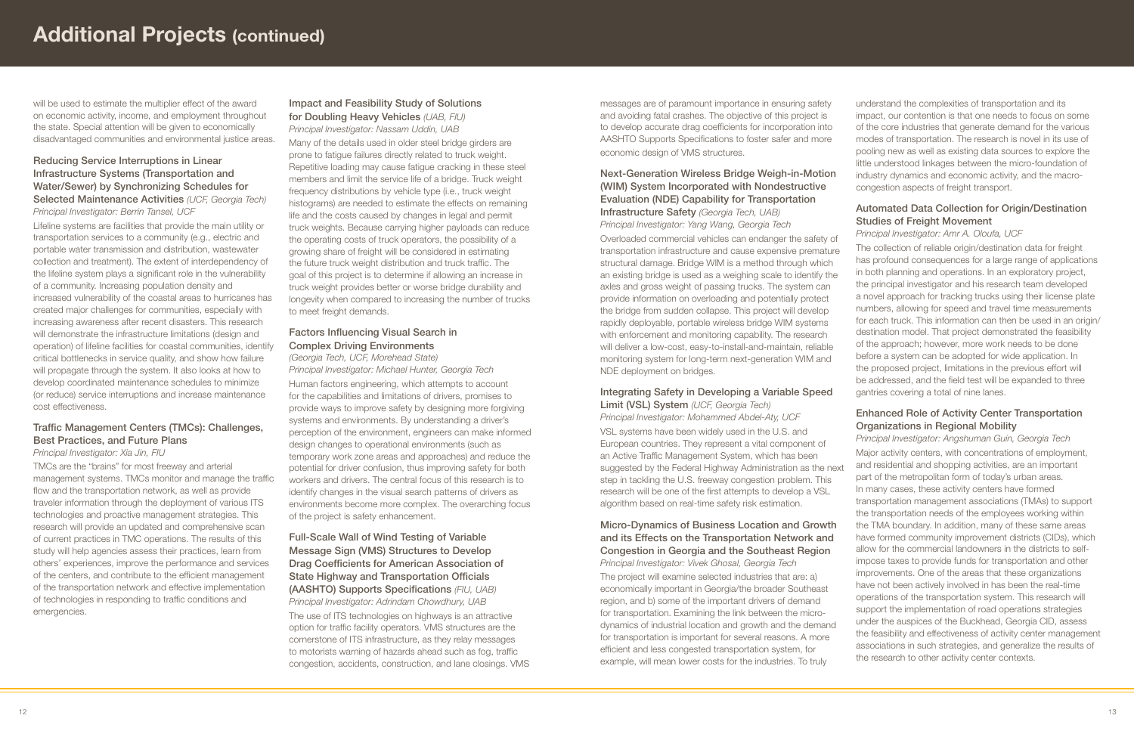messages are of paramount importance in ensuring safety and avoiding fatal crashes. The objective of this project is to develop accurate drag coefficients for incorporation into AASHTO Supports Specifications to foster safer and more economic design of VMS structures.

# Next-Generation Wireless Bridge Weigh-in-Motion (WIM) System Incorporated with Nondestructive Evaluation (NDE) Capability for Transportation Infrastructure Safety *(Georgia Tech, UAB)*

*Principal Investigator: Yang Wang, Georgia Tech*

### Integrating Safety in Developing a Variable Speed Limit (VSL) System *(UCF, Georgia Tech)*

*Principal Investigator: Mohammed Abdel-Aty, UCF* VSL systems have been widely used in the U.S. and European countries. They represent a vital component of an Active Traffic Management System, which has been suggested by the Federal Highway Administration as the next step in tackling the U.S. freeway congestion problem. This research will be one of the first attempts to develop a VSL algorithm based on real-time safety risk estimation.

Overloaded commercial vehicles can endanger the safety of transportation infrastructure and cause expensive premature structural damage. Bridge WIM is a method through which an existing bridge is used as a weighing scale to identify the axles and gross weight of passing trucks. The system can provide information on overloading and potentially protect the bridge from sudden collapse. This project will develop rapidly deployable, portable wireless bridge WIM systems with enforcement and monitoring capability. The research will deliver a low-cost, easy-to-install-and-maintain, reliable monitoring system for long-term next-generation WIM and NDE deployment on bridges. *Principal Investigator: Amr A. Oloufa, UCF*

# Micro-Dynamics of Business Location and Growth and its Effects on the Transportation Network and Congestion in Georgia and the Southeast Region *Principal Investigator: Vivek Ghosal, Georgia Tech*

The project will examine selected industries that are: a) economically important in Georgia/the broader Southeast region, and b) some of the important drivers of demand for transportation. Examining the link between the microdynamics of industrial location and growth and the demand for transportation is important for several reasons. A more efficient and less congested transportation system, for example, will mean lower costs for the industries. To truly

understand the complexities of transportation and its impact, our contention is that one needs to focus on some of the core industries that generate demand for the various modes of transportation. The research is novel in its use of pooling new as well as existing data sources to explore the little understood linkages between the micro-foundation of industry dynamics and economic activity, and the macrocongestion aspects of freight transport.

# Automated Data Collection for Origin/Destination Studies of Freight Movement

The collection of reliable origin/destination data for freight has profound consequences for a large range of applications in both planning and operations. In an exploratory project, the principal investigator and his research team developed a novel approach for tracking trucks using their license plate numbers, allowing for speed and travel time measurements for each truck. This information can then be used in an origin/ destination model. That project demonstrated the feasibility of the approach; however, more work needs to be done before a system can be adopted for wide application. In the proposed project, limitations in the previous effort will be addressed, and the field test will be expanded to three gantries covering a total of nine lanes.

# Enhanced Role of Activity Center Transportation Organizations in Regional Mobility

*Principal Investigator: Angshuman Guin, Georgia Tech* Major activity centers, with concentrations of employment, and residential and shopping activities, are an important part of the metropolitan form of today's urban areas. In many cases, these activity centers have formed transportation management associations (TMAs) to support the transportation needs of the employees working within

the TMA boundary. In addition, many of these same areas have formed community improvement districts (CIDs), which allow for the commercial landowners in the districts to selfimpose taxes to provide funds for transportation and other improvements. One of the areas that these organizations have not been actively involved in has been the real-time operations of the transportation system. This research will support the implementation of road operations strategies under the auspices of the Buckhead, Georgia CID, assess the feasibility and effectiveness of activity center management associations in such strategies, and generalize the results of the research to other activity center contexts.

will be used to estimate the multiplier effect of the award on economic activity, income, and employment throughout the state. Special attention will be given to economically disadvantaged communities and environmental justice areas.

# Reducing Service Interruptions in Linear Infrastructure Systems (Transportation and Water/Sewer) by Synchronizing Schedules for Selected Maintenance Activities *(UCF, Georgia Tech) Principal Investigator: Berrin Tansel, UCF*

Lifeline systems are facilities that provide the main utility or transportation services to a community (e.g., electric and portable water transmission and distribution, wastewater collection and treatment). The extent of interdependency of the lifeline system plays a significant role in the vulnerability of a community. Increasing population density and increased vulnerability of the coastal areas to hurricanes has created major challenges for communities, especially with increasing awareness after recent disasters. This research will demonstrate the infrastructure limitations (design and operation) of lifeline facilities for coastal communities, identify critical bottlenecks in service quality, and show how failure will propagate through the system. It also looks at how to develop coordinated maintenance schedules to minimize (or reduce) service interruptions and increase maintenance cost effectiveness.

# Traffic Management Centers (TMCs): Challenges, Best Practices, and Future Plans *Principal Investigator: Xia Jin, FIU*

TMCs are the "brains" for most freeway and arterial management systems. TMCs monitor and manage the traffic flow and the transportation network, as well as provide traveler information through the deployment of various ITS technologies and proactive management strategies. This research will provide an updated and comprehensive scan of current practices in TMC operations. The results of this study will help agencies assess their practices, learn from others' experiences, improve the performance and services of the centers, and contribute to the efficient management of the transportation network and effective implementation of technologies in responding to traffic conditions and emergencies.

# Impact and Feasibility Study of Solutions for Doubling Heavy Vehicles *(UAB, FIU) Principal Investigator: Nassam Uddin, UAB*

Many of the details used in older steel bridge girders are prone to fatigue failures directly related to truck weight. Repetitive loading may cause fatigue cracking in these steel members and limit the service life of a bridge. Truck weight frequency distributions by vehicle type (i.e., truck weight histograms) are needed to estimate the effects on remaining life and the costs caused by changes in legal and permit truck weights. Because carrying higher payloads can reduce the operating costs of truck operators, the possibility of a growing share of freight will be considered in estimating the future truck weight distribution and truck traffic. The goal of this project is to determine if allowing an increase in truck weight provides better or worse bridge durability and longevity when compared to increasing the number of trucks to meet freight demands.

# Factors Influencing Visual Search in Complex Driving Environments

*(Georgia Tech, UCF, Morehead State) Principal Investigator: Michael Hunter, Georgia Tech*

Human factors engineering, which attempts to account for the capabilities and limitations of drivers, promises to provide ways to improve safety by designing more forgiving systems and environments. By understanding a driver's perception of the environment, engineers can make informed design changes to operational environments (such as temporary work zone areas and approaches) and reduce the potential for driver confusion, thus improving safety for both workers and drivers. The central focus of this research is to identify changes in the visual search patterns of drivers as environments become more complex. The overarching focus of the project is safety enhancement.

# Full-Scale Wall of Wind Testing of Variable Message Sign (VMS) Structures to Develop Drag Coefficients for American Association of State Highway and Transportation Officials (AASHTO) Supports Specifications *(FIU, UAB) Principal Investigator: Adrindam Chowdhury, UAB* The use of ITS technologies on highways is an attractive option for traffic facility operators. VMS structures are the cornerstone of ITS infrastructure, as they relay messages to motorists warning of hazards ahead such as fog, traffic congestion, accidents, construction, and lane closings. VMS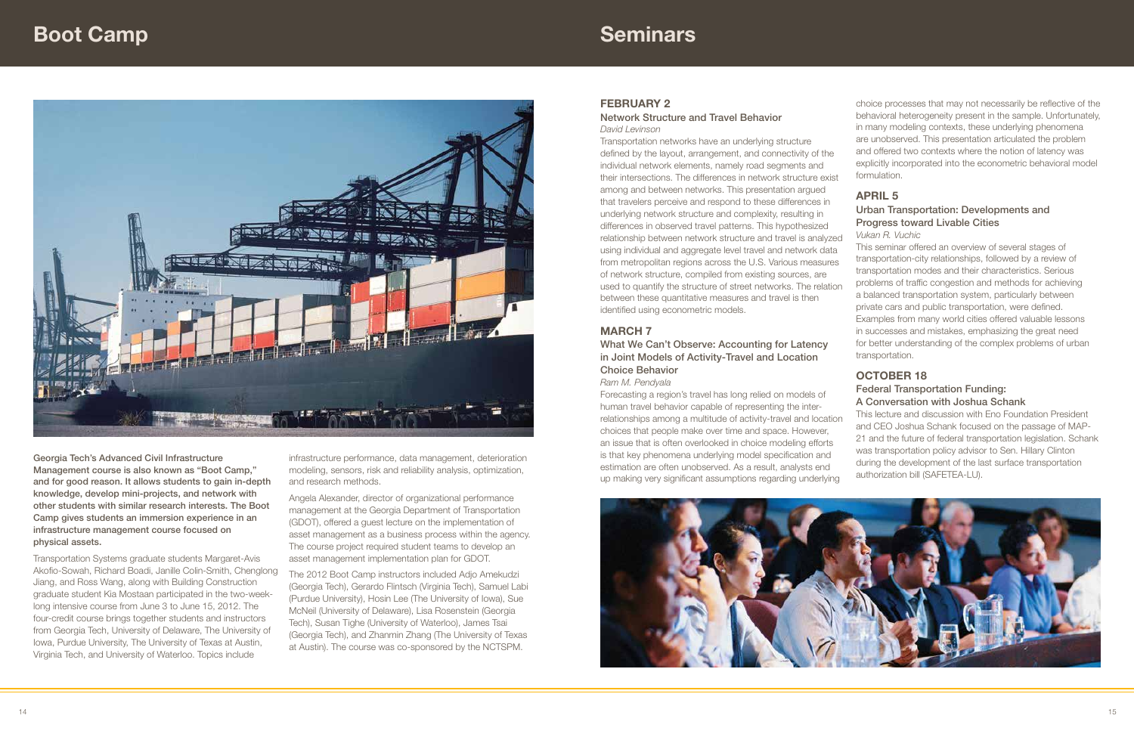Network Structure and Travel Behavior *David Levinson*

in Joint Models of Activity-Travel and Location Choice Behavior

#### *Ram M. Pendyala*

Transportation networks have an underlying structure defined by the layout, arrangement, and connectivity of the individual network elements, namely road segments and their intersections. The differences in network structure exist among and between networks. This presentation argued that travelers perceive and respond to these differences in underlying network structure and complexity, resulting in differences in observed travel patterns. This hypothesized relationship between network structure and travel is analyzed using individual and aggregate level travel and network data from metropolitan regions across the U.S. Various measures of network structure, compiled from existing sources, are used to quantify the structure of street networks. The relation between these quantitative measures and travel is then identified using econometric models. **MARCH 7** What We Can't Observe: Accounting for Latency formulation. April 5 Urban Transportation: Developments and Progress toward Livable Cities *Vukan R. Vuchic* This seminar offered an overview of several stages of transportation-city relationships, followed by a review of transportation modes and their characteristics. Serious problems of traffic congestion and methods for achieving a balanced transportation system, particularly between private cars and public transportation, were defined. Examples from many world cities offered valuable lessons in successes and mistakes, emphasizing the great need for better understanding of the complex problems of urban transportation.

Forecasting a region's travel has long relied on models of human travel behavior capable of representing the interrelationships among a multitude of activity-travel and location choices that people make over time and space. However, an issue that is often overlooked in choice modeling efforts is that key phenomena underlying model specification and estimation are often unobserved. As a result, analysts end up making very significant assumptions regarding underlying



choice processes that may not necessarily be reflective of the behavioral heterogeneity present in the sample. Unfortunately, in many modeling contexts, these underlying phenomena are unobserved. This presentation articulated the problem and offered two contexts where the notion of latency was explicitly incorporated into the econometric behavioral model

# **OCTOBER 18**

# Federal Transportation Funding: A Conversation with Joshua Schank

This lecture and discussion with Eno Foundation President and CEO Joshua Schank focused on the passage of MAP-21 and the future of federal transportation legislation. Schank was transportation policy advisor to Sen. Hillary Clinton during the development of the last surface transportation authorization bill (SAFETEA-LU).

# **Seminars**



Georgia Tech's Advanced Civil Infrastructure Management course is also known as "Boot Camp," and for good reason. It allows students to gain in-depth knowledge, develop mini-projects, and network with other students with similar research interests. The Boot Camp gives students an immersion experience in an infrastructure management course focused on physical assets.

Transportation Systems graduate students Margaret-Avis Akofio-Sowah, Richard Boadi, Janille Colin-Smith, Chenglong Jiang, and Ross Wang, along with Building Construction graduate student Kia Mostaan participated in the two-weeklong intensive course from June 3 to June 15, 2012. The four-credit course brings together students and instructors from Georgia Tech, University of Delaware, The University of Iowa, Purdue University, The University of Texas at Austin, Virginia Tech, and University of Waterloo. Topics include

infrastructure performance, data management, deterioration modeling, sensors, risk and reliability analysis, optimization, and research methods.

Angela Alexander, director of organizational performance management at the Georgia Department of Transportation (GDOT), offered a guest lecture on the implementation of asset management as a business process within the agency. The course project required student teams to develop an asset management implementation plan for GDOT.

The 2012 Boot Camp instructors included Adjo Amekudzi (Georgia Tech), Gerardo Flintsch (Virginia Tech), Samuel Labi (Purdue University), Hosin Lee (The University of Iowa), Sue McNeil (University of Delaware), Lisa Rosenstein (Georgia Tech), Susan Tighe (University of Waterloo), James Tsai (Georgia Tech), and Zhanmin Zhang (The University of Texas at Austin). The course was co-sponsored by the NCTSPM.

# **FEBRUARY 2**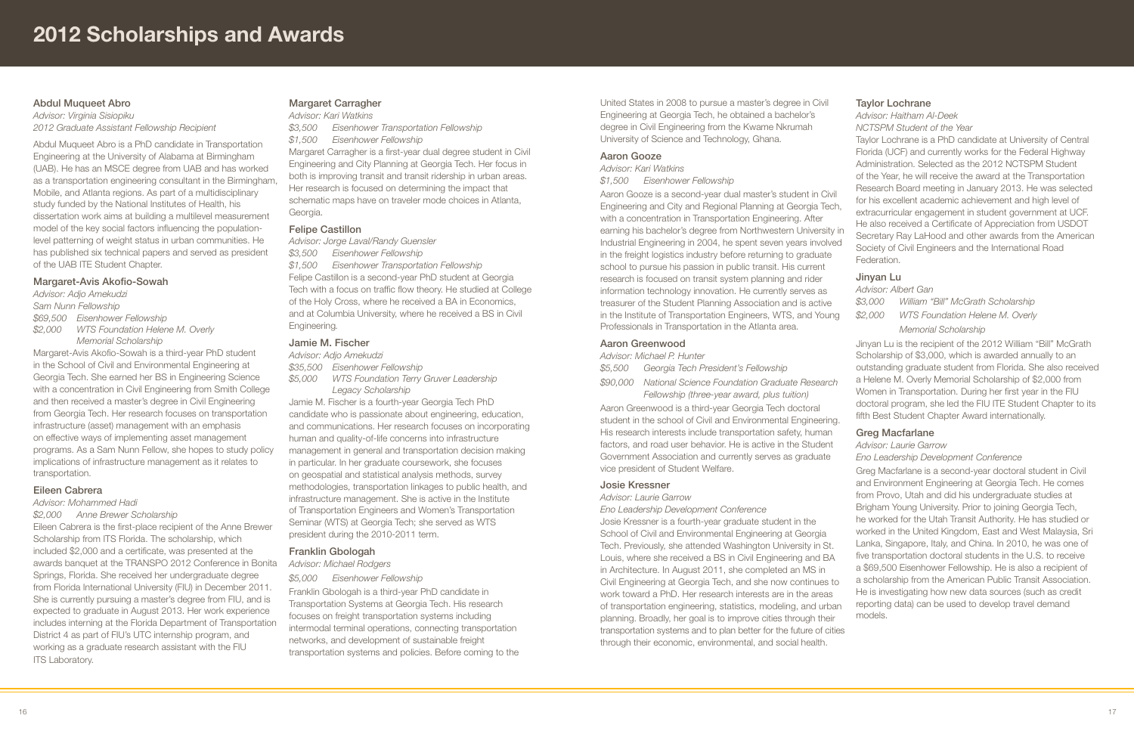United States in 2008 to pursue a master's degree in Civil Engineering at Georgia Tech, he obtained a bachelor's degree in Civil Engineering from the Kwame Nkrumah University of Science and Technology, Ghana.

#### Aaron Gooze

*Advisor: Kari Watkins \$1,500 Eisenhower Fellowship*

Aaron Gooze is a second-year dual master's student in Civil Engineering and City and Regional Planning at Georgia Tech, with a concentration in Transportation Engineering. After earning his bachelor's degree from Northwestern University in Industrial Engineering in 2004, he spent seven years involved in the freight logistics industry before returning to graduate school to pursue his passion in public transit. His current research is focused on transit system planning and rider information technology innovation. He currently serves as treasurer of the Student Planning Association and is active in the Institute of Transportation Engineers, WTS, and Young Professionals in Transportation in the Atlanta area.

#### Aaron Greenwood

|         | Advisor: Michael P. Hunter          |  |
|---------|-------------------------------------|--|
| \$5,500 | Georgia Tech President's Fellowship |  |

*\$90,000 National Science Foundation Graduate Research Fellowship (three-year award, plus tuition)*

Aaron Greenwood is a third-year Georgia Tech doctoral student in the school of Civil and Environmental Engineering. His research interests include transportation safety, human factors, and road user behavior. He is active in the Student Government Association and currently serves as graduate vice president of Student Welfare.

#### Josie Kressner

*Advisor: Laurie Garrow*

*Eno Leadership Development Conference*

Josie Kressner is a fourth-year graduate student in the School of Civil and Environmental Engineering at Georgia Tech. Previously, she attended Washington University in St. Louis, where she received a BS in Civil Engineering and BA in Architecture. In August 2011, she completed an MS in Civil Engineering at Georgia Tech, and she now continues to work toward a PhD. Her research interests are in the areas of transportation engineering, statistics, modeling, and urban planning. Broadly, her goal is to improve cities through their transportation systems and to plan better for the future of cities through their economic, environmental, and social health.

# Taylor Lochrane

*Advisor: Haitham Al-Deek*

*NCTSPM Student of the Year*

Taylor Lochrane is a PhD candidate at University of Central Florida (UCF) and currently works for the Federal Highway Administration. Selected as the 2012 NCTSPM Student of the Year, he will receive the award at the Transportation Research Board meeting in January 2013. He was selected for his excellent academic achievement and high level of extracurricular engagement in student government at UCF. He also received a Certificate of Appreciation from USDOT Secretary Ray LaHood and other awards from the American Society of Civil Engineers and the International Road Federation.

Eileen Cabrera is the first-place recipient of the Anne Brewer Scholarship from ITS Florida. The scholarship, which included \$2,000 and a certificate, was presented at the awards banquet at the TRANSPO 2012 Conference in Bonita Springs, Florida. She received her undergraduate degree from Florida International University (FIU) in December 2011. She is currently pursuing a master's degree from FIU, and is expected to graduate in August 2013. Her work experience includes interning at the Florida Department of Transportation District 4 as part of FIU's UTC internship program, and working as a graduate research assistant with the FIU **ITS Laboratory.** 

# Jinyan Lu

*Advisor: Albert Gan \$3,000 William "Bill" McGrath Scholarship \$2,000 WTS Foundation Helene M. Overly Memorial Scholarship*

Jinyan Lu is the recipient of the 2012 William "Bill" McGrath Scholarship of \$3,000, which is awarded annually to an outstanding graduate student from Florida. She also received

a Helene M. Overly Memorial Scholarship of \$2,000 from Women in Transportation. During her first year in the FIU doctoral program, she led the FIU ITE Student Chapter to its fifth Best Student Chapter Award internationally.

# Greg Macfarlane

*Advisor: Laurie Garrow*

#### *Eno Leadership Development Conference*

Greg Macfarlane is a second-year doctoral student in Civil and Environment Engineering at Georgia Tech. He comes from Provo, Utah and did his undergraduate studies at Brigham Young University. Prior to joining Georgia Tech, he worked for the Utah Transit Authority. He has studied or worked in the United Kingdom, East and West Malaysia, Sri Lanka, Singapore, Italy, and China. In 2010, he was one of five transportation doctoral students in the U.S. to receive a \$69,500 Eisenhower Fellowship. He is also a recipient of a scholarship from the American Public Transit Association. He is investigating how new data sources (such as credit reporting data) can be used to develop travel demand models.

# Abdul Muqueet Abro

*Advisor: Virginia Sisiopiku 2012 Graduate Assistant Fellowship Recipient*

Abdul Muqueet Abro is a PhD candidate in Transportation Engineering at the University of Alabama at Birmingham (UAB). He has an MSCE degree from UAB and has worked as a transportation engineering consultant in the Birmingham, Mobile, and Atlanta regions. As part of a multidisciplinary study funded by the National Institutes of Health, his dissertation work aims at building a multilevel measurement model of the key social factors influencing the populationlevel patterning of weight status in urban communities. He has published six technical papers and served as president of the UAB ITE Student Chapter.

### Margaret-Avis Akofio-Sowah

*Advisor: Adjo Amekudzi Sam Nunn Fellowship \$69,500 Eisenhower Fellowship \$2,000 WTS Foundation Helene M. Overly Memorial Scholarship*

Margaret-Avis Akofio-Sowah is a third-year PhD student in the School of Civil and Environmental Engineering at Georgia Tech. She earned her BS in Engineering Science with a concentration in Civil Engineering from Smith College and then received a master's degree in Civil Engineering from Georgia Tech. Her research focuses on transportation infrastructure (asset) management with an emphasis on effective ways of implementing asset management programs. As a Sam Nunn Fellow, she hopes to study policy implications of infrastructure management as it relates to transportation.

#### Eileen Cabrera

# *Advisor: Mohammed Hadi*

*\$2,000 Anne Brewer Scholarship*

# Margaret Carragher

*Advisor: Kari Watkins*

*\$3,500 Eisenhower Transportation Fellowship*

*\$1,500 Eisenhower Fellowship*

Margaret Carragher is a first-year dual degree student in Civil Engineering and City Planning at Georgia Tech. Her focus in both is improving transit and transit ridership in urban areas. Her research is focused on determining the impact that schematic maps have on traveler mode choices in Atlanta, Georgia.

#### Felipe Castillon

*Advisor: Jorge Laval/Randy Guensler*

*\$3,500 Eisenhower Fellowship*

*\$1,500 Eisenhower Transportation Fellowship* Felipe Castillon is a second-year PhD student at Georgia Tech with a focus on traffic flow theory. He studied at College of the Holy Cross, where he received a BA in Economics, and at Columbia University, where he received a BS in Civil Engineering*.*

# Jamie M. Fischer

*Advisor: Adjo Amekudzi*

*\$35,500 Eisenhower Fellowship*

*\$5,000 WTS Foundation Terry Gruver Leadership Legacy Scholarship*

Jamie M. Fischer is a fourth-year Georgia Tech PhD candidate who is passionate about engineering, education, and communications. Her research focuses on incorporating human and quality-of-life concerns into infrastructure management in general and transportation decision making in particular. In her graduate coursework, she focuses on geospatial and statistical analysis methods, survey methodologies, transportation linkages to public health, and infrastructure management. She is active in the Institute of Transportation Engineers and Women's Transportation Seminar (WTS) at Georgia Tech; she served as WTS president during the 2010-2011 term.

### Franklin Gbologah

#### *Advisor: Michael Rodgers*

*\$5,000 Eisenhower Fellowship*

Franklin Gbologah is a third-year PhD candidate in Transportation Systems at Georgia Tech. His research focuses on freight transportation systems including intermodal terminal operations, connecting transportation networks, and development of sustainable freight transportation systems and policies. Before coming to the

# 2012 Scholarships and Awards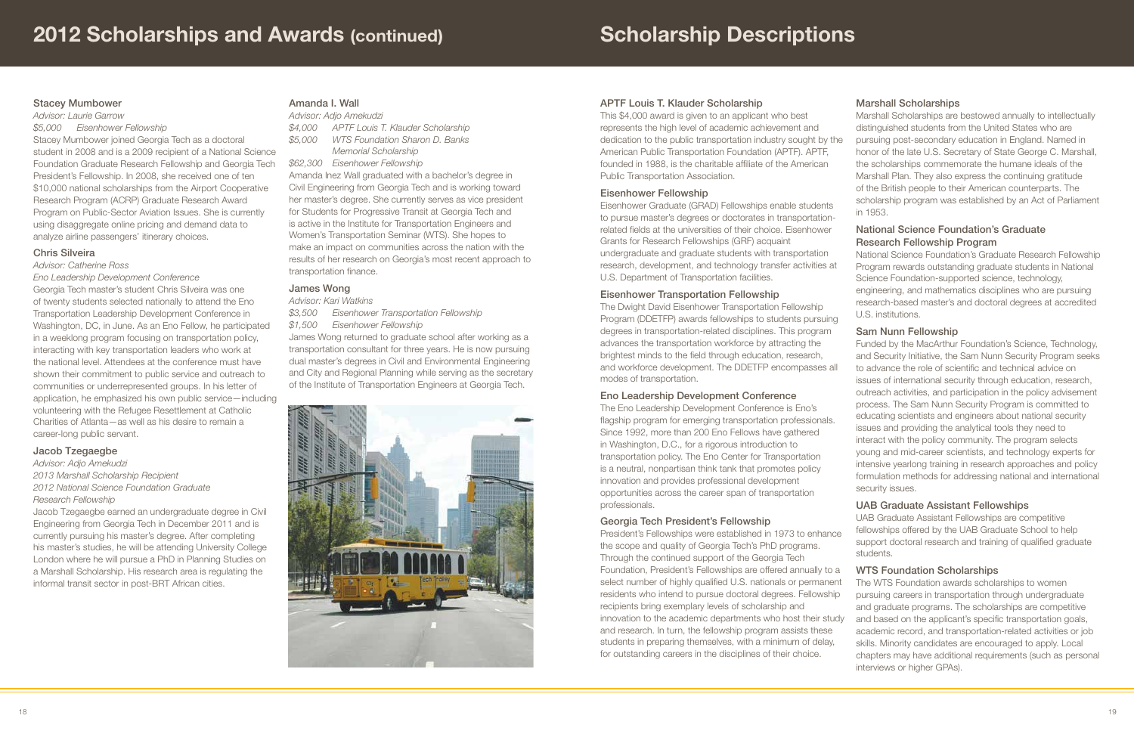# APTF Louis T. Klauder Scholarship

This \$4,000 award is given to an applicant who best represents the high level of academic achievement and dedication to the public transportation industry sought by the American Public Transportation Foundation (APTF). APTF, founded in 1988, is the charitable affiliate of the American Public Transportation Association.

# Eisenhower Fellowship

Eisenhower Graduate (GRAD) Fellowships enable students to pursue master's degrees or doctorates in transportationrelated fields at the universities of their choice. Eisenhower Grants for Research Fellowships (GRF) acquaint undergraduate and graduate students with transportation research, development, and technology transfer activities at U.S. Department of Transportation facilities.

# Eisenhower Transportation Fellowship

The Dwight David Eisenhower Transportation Fellowship Program (DDETFP) awards fellowships to students pursuing degrees in transportation-related disciplines. This program advances the transportation workforce by attracting the brightest minds to the field through education, research, and workforce development. The DDETFP encompasses all modes of transportation.

# Eno Leadership Development Conference

The Eno Leadership Development Conference is Eno's flagship program for emerging transportation professionals. Since 1992, more than 200 Eno Fellows have gathered in Washington, D.C., for a rigorous introduction to transportation policy. The Eno Center for Transportation is a neutral, nonpartisan think tank that promotes policy innovation and provides professional development opportunities across the career span of transportation professionals.

# Georgia Tech President's Fellowship

President's Fellowships were established in 1973 to enhance the scope and quality of Georgia Tech's PhD programs. Through the continued support of the Georgia Tech Foundation, President's Fellowships are offered annually to a select number of highly qualified U.S. nationals or permanent residents who intend to pursue doctoral degrees. Fellowship recipients bring exemplary levels of scholarship and innovation to the academic departments who host their study and research. In turn, the fellowship program assists these students in preparing themselves, with a minimum of delay, for outstanding careers in the disciplines of their choice.

# Marshall Scholarships

|    | Marshall Scholarships are bestowed annually to intellectually |
|----|---------------------------------------------------------------|
|    | distinguished students from the United States who are         |
| he | pursuing post-secondary education in England. Named in        |
|    | honor of the late U.S. Secretary of State George C. Marshall, |
|    | the scholarships commemorate the humane ideals of the         |
|    | Marshall Plan. They also express the continuing gratitude     |
|    | of the British people to their American counterparts. The     |
|    | scholarship program was established by an Act of Parliament   |
|    | in 1953.                                                      |
|    |                                                               |

# National Science Foundation's Graduate Research Fellowship Program

National Science Foundation's Graduate Research Fellowship Program rewards outstanding graduate students in National Science Foundation-supported science, technology, engineering, and mathematics disciplines who are pursuing research-based master's and doctoral degrees at accredited U.S. institutions.

# Sam Nunn Fellowship

Funded by the MacArthur Foundation's Science, Technology, and Security Initiative, the Sam Nunn Security Program seeks

to advance the role of scientific and technical advice on issues of international security through education, research, outreach activities, and participation in the policy advisement process. The Sam Nunn Security Program is committed to educating scientists and engineers about national security issues and providing the analytical tools they need to interact with the policy community. The program selects young and mid-career scientists, and technology experts for intensive yearlong training in research approaches and policy formulation methods for addressing national and international security issues.

### UAB Graduate Assistant Fellowships

UAB Graduate Assistant Fellowships are competitive fellowships offered by the UAB Graduate School to help support doctoral research and training of qualified graduate students.

### WTS Foundation Scholarships

- The WTS Foundation awards scholarships to women pursuing careers in transportation through undergraduate and graduate programs. The scholarships are competitive
- and based on the applicant's specific transportation goals, academic record, and transportation-related activities or job skills. Minority candidates are encouraged to apply. Local chapters may have additional requirements (such as personal interviews or higher GPAs).

# Stacey Mumbower

*Advisor: Laurie Garrow*

*\$5,000 Eisenhower Fellowship* Stacey Mumbower joined Georgia Tech as a doctoral student in 2008 and is a 2009 recipient of a National Science Foundation Graduate Research Fellowship and Georgia Tech President's Fellowship. In 2008, she received one of ten \$10,000 national scholarships from the Airport Cooperative Research Program (ACRP) Graduate Research Award Program on Public-Sector Aviation Issues. She is currently using disaggregate online pricing and demand data to analyze airline passengers' itinerary choices.

# Chris Silveira

*Advisor: Catherine Ross*

*Eno Leadership Development Conference*

Georgia Tech master's student Chris Silveira was one of twenty students selected nationally to attend the Eno Transportation Leadership Development Conference in Washington, DC, in June. As an Eno Fellow, he participated in a weeklong program focusing on transportation policy, interacting with key transportation leaders who work at the national level. Attendees at the conference must have shown their commitment to public service and outreach to communities or underrepresented groups. In his letter of application, he emphasized his own public service—including volunteering with the Refugee Resettlement at Catholic Charities of Atlanta—as well as his desire to remain a career-long public servant.

### Jacob Tzegaegbe

*Advisor: Adjo Amekudzi 2013 Marshall Scholarship Recipient 2012 National Science Foundation Graduate Research Fellowship*

Jacob Tzegaegbe earned an undergraduate degree in Civil Engineering from Georgia Tech in December 2011 and is currently pursuing his master's degree. After completing his master's studies, he will be attending University College London where he will pursue a PhD in Planning Studies on a Marshall Scholarship. His research area is regulating the informal transit sector in post-BRT African cities.

# Amanda I. Wall

|         | Advisor: Adjo Amekudzi                |
|---------|---------------------------------------|
| \$4.000 | APTF Louis T. Klauder Scholarship     |
| \$5,000 | <b>WTS Foundation Sharon D. Banks</b> |

- *Memorial Scholarship*
- *\$62,300 Eisenhower Fellowship*

Amanda Inez Wall graduated with a bachelor's degree in Civil Engineering from Georgia Tech and is working toward her master's degree. She currently serves as vice president for Students for Progressive Transit at Georgia Tech and is active in the Institute for Transportation Engineers and Women's Transportation Seminar (WTS). She hopes to make an impact on communities across the nation with the results of her research on Georgia's most recent approach to transportation finance.

# James Wong

*Advisor: Kari Watkins*

*\$3,500 Eisenhower Transportation Fellowship*

*\$1,500 Eisenhower Fellowship*

James Wong returned to graduate school after working as a transportation consultant for three years. He is now pursuing dual master's degrees in Civil and Environmental Engineering and City and Regional Planning while serving as the secretary of the Institute of Transportation Engineers at Georgia Tech.

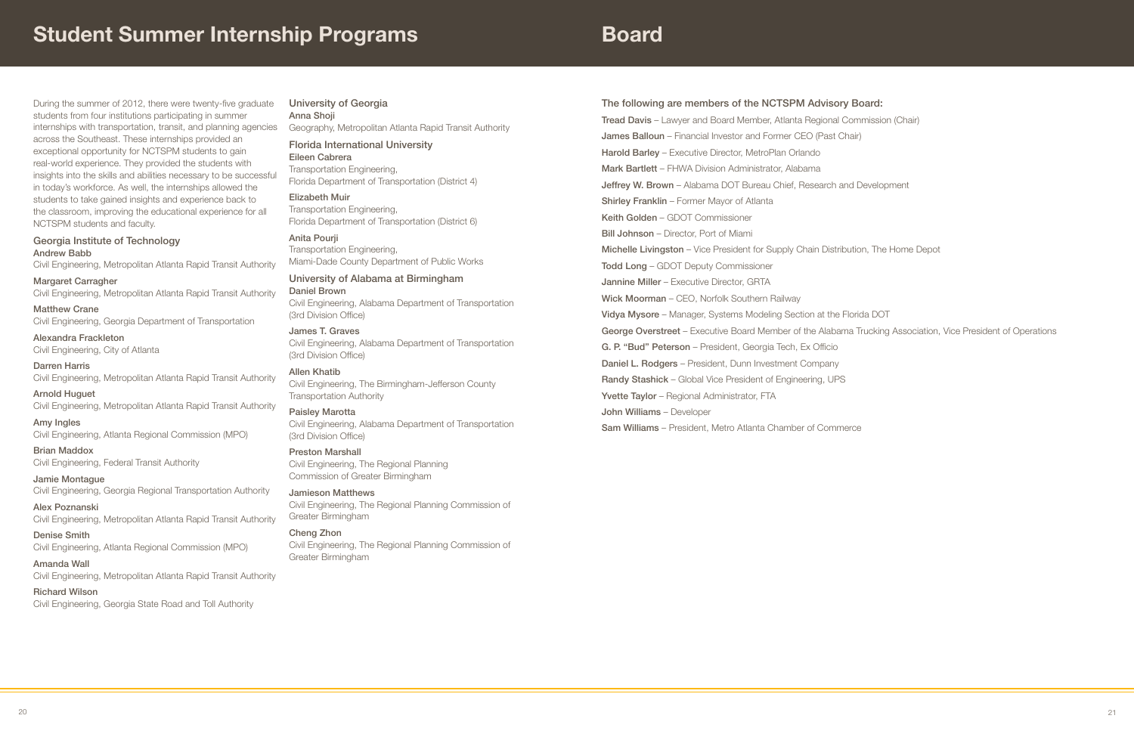# Student Summer Internship Programs

During the summer of 2012, there were twenty-five graduate students from four institutions participating in summer internships with transportation, transit, and planning agencies across the Southeast. These internships provided an exceptional opportunity for NCTSPM students to gain real-world experience. They provided the students with insights into the skills and abilities necessary to be successful in today's workforce. As well, the internships allowed the students to take gained insights and experience back to the classroom, improving the educational experience for all NCTSPM students and faculty.

Georgia Institute of Technology Andrew Babb

Civil Engineering, Metropolitan Atlanta Rapid Transit Authority

Margaret Carragher Civil Engineering, Metropolitan Atlanta Rapid Transit Authority

Matthew Crane Civil Engineering, Georgia Department of Transportation

Alexandra Frackleton Civil Engineering, City of Atlanta

Darren Harris Civil Engineering, Metropolitan Atlanta Rapid Transit Authority

Arnold Huguet Civil Engineering, Metropolitan Atlanta Rapid Transit Authority

Amy Ingles Civil Engineering, Atlanta Regional Commission (MPO)

Brian Maddox Civil Engineering, Federal Transit Authority

Jamie Montague Civil Engineering, Georgia Regional Transportation Authority

Alex Poznanski Civil Engineering, Metropolitan Atlanta Rapid Transit Authority

Denise Smith Civil Engineering, Atlanta Regional Commission (MPO)

Amanda Wall Civil Engineering, Metropolitan Atlanta Rapid Transit Authority

### Richard Wilson

Civil Engineering, Georgia State Road and Toll Authority

University of Georgia Anna Shoji Geography, Metropolitan Atlanta Rapid Transit Authority

#### Florida International University Eileen Cabrera

Transportation Engineering, Florida Department of Transportation (District 4)

# Elizabeth Muir

Transportation Engineering, Florida Department of Transportation (District 6)

Anita Pourji

Transportation Engineering, Miami-Dade County Department of Public Works

### University of Alabama at Birmingham

Daniel Brown

Civil Engineering, Alabama Department of Transportation (3rd Division Office)

# James T. Graves

Civil Engineering, Alabama Department of Transportation (3rd Division Office)

#### Allen Khatib Civil Engineering, The Birmingham-Jefferson County

Transportation Authority

# Paisley Marotta

Civil Engineering, Alabama Department of Transportation (3rd Division Office)

### Preston Marshall

Civil Engineering, The Regional Planning Commission of Greater Birmingham

# Jamieson Matthews

Civil Engineering, The Regional Planning Commission of Greater Birmingham

# Cheng Zhon

Civil Engineering, The Regional Planning Commission of Greater Birmingham

# The following are members of the NCTSPM Advisory Board:

Tread Davis – Lawyer and Board Member, Atlanta Regional Commission (Chair) James Balloun – Financial Investor and Former CEO (Past Chair) Harold Barley - Executive Director, MetroPlan Orlando Mark Bartlett – FHWA Division Administrator, Alabama Jeffrey W. Brown - Alabama DOT Bureau Chief, Research and Development Shirley Franklin – Former Mayor of Atlanta Keith Golden – GDOT Commissioner Bill Johnson – Director, Port of Miami Michelle Livingston – Vice President for Supply Chain Distribution, The Home Depot Todd Long – GDOT Deputy Commissioner Jannine Miller – Executive Director, GRTA Wick Moorman - CEO, Norfolk Southern Railway Vidya Mysore – Manager, Systems Modeling Section at the Florida DOT George Overstreet – Executive Board Member of the Alabama Trucking Association, Vice President of Operations G. P. "Bud" Peterson – President, Georgia Tech, Ex Officio Daniel L. Rodgers – President, Dunn Investment Company Randy Stashick – Global Vice President of Engineering, UPS Yvette Taylor - Regional Administrator, FTA John Williams – Developer Sam Williams – President, Metro Atlanta Chamber of Commerce

# Board